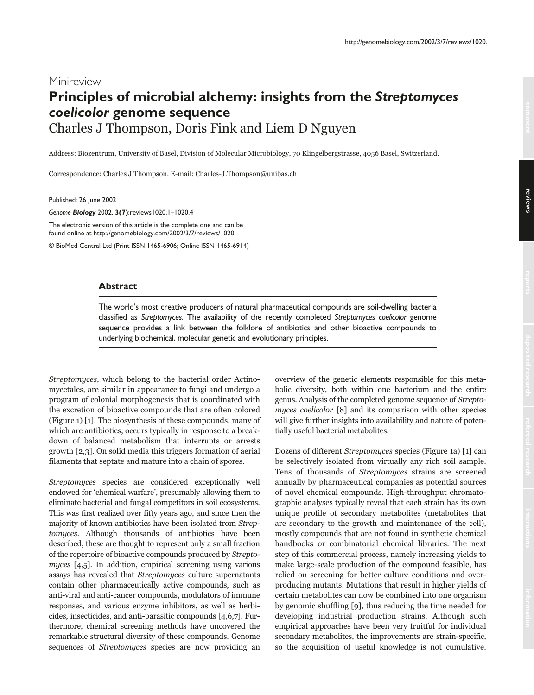# **Minireview Principles of microbial alchemy: insights from the** *Streptomyces coelicolor* **genome sequence**  Charles J Thompson, Doris Fink and Liem D Nguyen

Address: Biozentrum, University of Basel, Division of Molecular Microbiology, 70 Klingelbergstrasse, 4056 Basel, Switzerland,

Correspondence: Charles J Thompson. E-mail: Charles-J.Thompson@unibas.ch

Published: 26 June 2002

*Genome Biology* 2002, **3(7)**:reviews1020.1–1020.4

The electronic version of this article is the complete one and can be found online at http://genomebiology.com/2002/3/7/reviews/1020

© BioMed Central Ltd (Print ISSN 1465-6906; Online ISSN 1465-6914)

# **Abstract**

The world's most creative producers of natural pharmaceutical compounds are soil-dwelling bacteria classified as *Streptomyces*. The availability of the recently completed *Streptomyces coelicolor* genome sequence provides a link between the folklore of antibiotics and other bioactive compounds to underlying biochemical, molecular genetic and evolutionary principles.

Streptomyces, which belong to the bacterial order Actinomycetales, are similar in appearance to fungi and undergo a program of colonial morphogenesis that is coordinated with the excretion of bioactive compounds that are often colored (Figure 1) [1]. The biosynthesis of these compounds, many of which are antibiotics, occurs typically in response to a breakdown of balanced metabolism that interrupts or arrests growth [2,3]. On solid media this triggers formation of aerial filaments that septate and mature into a chain of spores.

Streptomyces species are considered exceptionally well endowed for 'chemical warfare', presumably allowing them to eliminate bacterial and fungal competitors in soil ecosystems. This was first realized over fifty years ago, and since then the majority of known antibiotics have been isolated from Streptomyces. Although thousands of antibiotics have been described, these are thought to represent only a small fraction of the repertoire of bioactive compounds produced by Streptomyces [4,5]. In addition, empirical screening using various assays has revealed that Streptomyces culture supernatants contain other pharmaceutically active compounds, such as anti-viral and anti-cancer compounds, modulators of immune responses, and various enzyme inhibitors, as well as herbicides, insecticides, and anti-parasitic compounds  $[4,6,7]$ . Furthermore, chemical screening methods have uncovered the remarkable structural diversity of these compounds. Genome sequences of *Streptomyces* species are now providing an

overview of the genetic elements responsible for this metabolic diversity, both within one bacterium and the entire genus. Analysis of the completed genome sequence of Streptomyces coelicolor [8] and its comparison with other species will give further insights into availability and nature of potentially useful bacterial metabolites.

Dozens of different Streptomyces species (Figure 1a) [1] can be selectively isolated from virtually any rich soil sample. Tens of thousands of *Streptomyces* strains are screened annually by pharmaceutical companies as potential sources of novel chemical compounds. High-throughput chromatographic analyses typically reveal that each strain has its own unique profile of secondary metabolites (metabolites that are secondary to the growth and maintenance of the cell), mostly compounds that are not found in synthetic chemical handbooks or combinatorial chemical libraries. The next step of this commercial process, namely increasing yields to make large-scale production of the compound feasible, has relied on screening for better culture conditions and overproducing mutants. Mutations that result in higher yields of certain metabolites can now be combined into one organism by genomic shuffling [9], thus reducing the time needed for developing industrial production strains. Although such empirical approaches have been very fruitful for individual secondary metabolites, the improvements are strain-specific, so the acquisition of useful knowledge is not cumulative.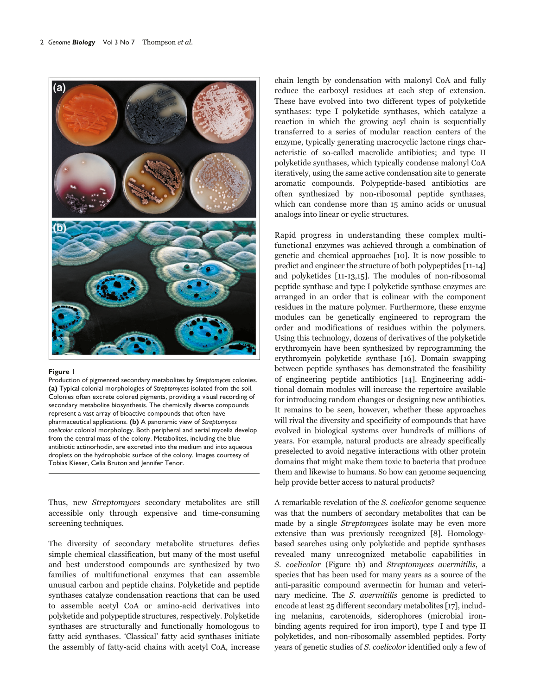

#### Figure I

Production of pigmented secondary metabolites by Streptomyces colonies. (a) Typical colonial morphologies of Streptomyces isolated from the soil. Colonies often excrete colored pigments, providing a visual recording of secondary metabolite biosynthesis. The chemically diverse compounds represent a vast array of bioactive compounds that often have pharmaceutical applications. (b) A panoramic view of Streptomyces coelicolor colonial morphology. Both peripheral and aerial mycelia develop from the central mass of the colony. Metabolites, including the blue antibiotic actinorhodin, are excreted into the medium and into aqueous droplets on the hydrophobic surface of the colony. Images courtesy of Tobias Kieser, Celia Bruton and Jennifer Tenor.

Thus, new *Streptomyces* secondary metabolites are still accessible only through expensive and time-consuming screening techniques.

The diversity of secondary metabolite structures defies simple chemical classification, but many of the most useful and best understood compounds are synthesized by two families of multifunctional enzymes that can assemble unusual carbon and peptide chains. Polyketide and peptide synthases catalyze condensation reactions that can be used to assemble acetyl CoA or amino-acid derivatives into polyketide and polypeptide structures, respectively. Polyketide synthases are structurally and functionally homologous to fatty acid synthases. 'Classical' fatty acid synthases initiate the assembly of fatty-acid chains with acetyl CoA, increase chain length by condensation with malonyl CoA and fully reduce the carboxyl residues at each step of extension. These have evolved into two different types of polyketide synthases: type I polyketide synthases, which catalyze a reaction in which the growing acyl chain is sequentially transferred to a series of modular reaction centers of the enzyme, typically generating macrocyclic lactone rings characteristic of so-called macrolide antibiotics; and type II polyketide synthases, which typically condense malonyl CoA iteratively, using the same active condensation site to generate aromatic compounds. Polypeptide-based antibiotics are often synthesized by non-ribosomal peptide synthases, which can condense more than 15 amino acids or unusual analogs into linear or cyclic structures.

Rapid progress in understanding these complex multifunctional enzymes was achieved through a combination of genetic and chemical approaches [10]. It is now possible to predict and engineer the structure of both polypeptides [11-14] and polyketides  $[11-13,15]$ . The modules of non-ribosomal peptide synthase and type I polyketide synthase enzymes are arranged in an order that is colinear with the component residues in the mature polymer. Furthermore, these enzyme modules can be genetically engineered to reprogram the order and modifications of residues within the polymers. Using this technology, dozens of derivatives of the polyketide erythromycin have been synthesized by reprogramming the erythromycin polyketide synthase [16]. Domain swapping between peptide synthases has demonstrated the feasibility of engineering peptide antibiotics [14]. Engineering additional domain modules will increase the repertoire available for introducing random changes or designing new antibiotics. It remains to be seen, however, whether these approaches will rival the diversity and specificity of compounds that have evolved in biological systems over hundreds of millions of years. For example, natural products are already specifically preselected to avoid negative interactions with other protein domains that might make them toxic to bacteria that produce them and likewise to humans. So how can genome sequencing help provide better access to natural products?

A remarkable revelation of the S. coelicolor genome sequence was that the numbers of secondary metabolites that can be made by a single *Streptomyces* isolate may be even more extensive than was previously recognized [8]. Homologybased searches using only polyketide and peptide synthases revealed many unrecognized metabolic capabilities in S. coelicolor (Figure 1b) and Streptomyces avermitilis, a species that has been used for many years as a source of the anti-parasitic compound avermectin for human and veterinary medicine. The *S. avermitilis* genome is predicted to encode at least 25 different secondary metabolites [17], including melanins, carotenoids, siderophores (microbial ironbinding agents required for iron import), type I and type II polyketides, and non-ribosomally assembled peptides. Forty years of genetic studies of S. coelicolor identified only a few of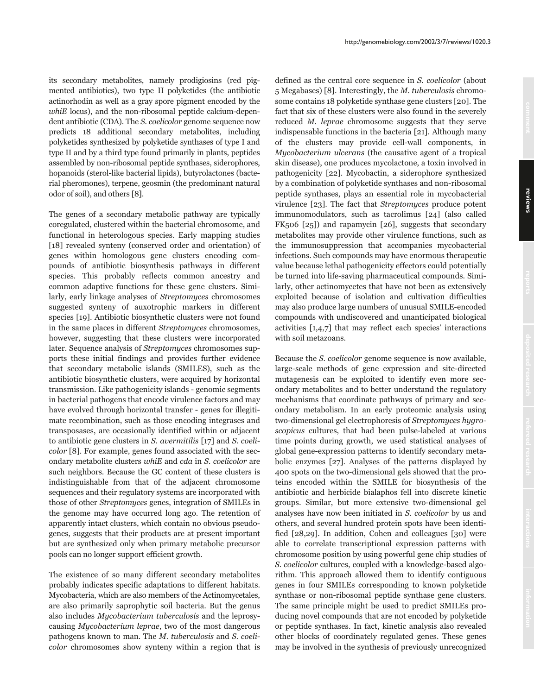its secondary metabolites, namely prodigiosins (red pigmented antibiotics), two type II polyketides (the antibiotic actinorhodin as well as a gray spore pigment encoded by the  $whiE$  locus), and the non-ribosomal peptide calcium-dependent antibiotic (CDA). The S. coelicolor genome sequence now predicts 18 additional secondary metabolites, including polyketides synthesized by polyketide synthases of type I and type II and by a third type found primarily in plants, peptides assembled by non-ribosomal peptide synthases, siderophores, hopanoids (sterol-like bacterial lipids), butyrolactones (bacterial pheromones), terpene, geosmin (the predominant natural odor of soil), and others [8].

The genes of a secondary metabolic pathway are typically coregulated, clustered within the bacterial chromosome, and functional in heterologous species. Early mapping studies [18] revealed synteny (conserved order and orientation) of genes within homologous gene clusters encoding compounds of antibiotic biosynthesis pathways in different species. This probably reflects common ancestry and common adaptive functions for these gene clusters. Similarly, early linkage analyses of Streptomyces chromosomes suggested synteny of auxotrophic markers in different species [19]. Antibiotic biosynthetic clusters were not found in the same places in different Streptomyces chromosomes, however, suggesting that these clusters were incorporated later. Sequence analysis of *Streptomyces* chromosomes supports these initial findings and provides further evidence that secondary metabolic islands (SMILES), such as the antibiotic biosynthetic clusters, were acquired by horizontal transmission. Like pathogenicity islands - genomic segments in bacterial pathogens that encode virulence factors and may have evolved through horizontal transfer - genes for illegitimate recombination, such as those encoding integrases and transposases, are occasionally identified within or adjacent to antibiotic gene clusters in S. avermitilis [17] and S. coelicolor [8]. For example, genes found associated with the secondary metabolite clusters whiE and cda in S. coelicolor are such neighbors. Because the GC content of these clusters is indistinguishable from that of the adjacent chromosome sequences and their regulatory systems are incorporated with those of other Streptomyces genes, integration of SMILEs in the genome may have occurred long ago. The retention of apparently intact clusters, which contain no obvious pseudogenes, suggests that their products are at present important but are synthesized only when primary metabolic precursor pools can no longer support efficient growth.

The existence of so many different secondary metabolites probably indicates specific adaptations to different habitats. Mycobacteria, which are also members of the Actinomycetales, are also primarily saprophytic soil bacteria. But the genus also includes Mycobacterium tuberculosis and the leprosycausing Mycobacterium leprae, two of the most dangerous pathogens known to man. The M. tuberculosis and S. coelicolor chromosomes show synteny within a region that is defined as the central core sequence in S. coelicolor (about  $5$  Megabases) [8]. Interestingly, the *M. tuberculosis* chromosome contains 18 polyketide synthase gene clusters [20]. The fact that six of these clusters were also found in the severely reduced M. leprae chromosome suggests that they serve indispensable functions in the bacteria [21]. Although many of the clusters may provide cell-wall components, in Mycobacterium ulcerans (the causative agent of a tropical skin disease), one produces mycolactone, a toxin involved in pathogenicity [22]. Mycobactin, a siderophore synthesized by a combination of polyketide synthases and non-ribosomal peptide synthases, plays an essential role in mycobacterial virulence [23]. The fact that Streptomyces produce potent immunomodulators, such as tacrolimus [24] (also called FK506 [25]) and rapamycin [26], suggests that secondary metabolites may provide other virulence functions, such as the immunosuppression that accompanies mycobacterial infections. Such compounds may have enormous therapeutic value because lethal pathogenicity effectors could potentially be turned into life-saving pharmaceutical compounds. Similarly, other actinomycetes that have not been as extensively exploited because of isolation and cultivation difficulties may also produce large numbers of unusual SMILE-encoded compounds with undiscovered and unanticipated biological activities  $[1,4,7]$  that may reflect each species' interactions with soil metazoans.

Because the *S. coelicolor* genome sequence is now available, large-scale methods of gene expression and site-directed mutagenesis can be exploited to identify even more secondary metabolites and to better understand the regulatory mechanisms that coordinate pathways of primary and secondary metabolism. In an early proteomic analysis using two-dimensional gel electrophoresis of Streptomyces hygroscopicus cultures, that had been pulse-labeled at various time points during growth, we used statistical analyses of global gene-expression patterns to identify secondary metabolic enzymes [27]. Analyses of the patterns displayed by 400 spots on the two-dimensional gels showed that the proteins encoded within the SMILE for biosynthesis of the antibiotic and herbicide bialaphos fell into discrete kinetic groups. Similar, but more extensive two-dimensional gel analyses have now been initiated in S. coelicolor by us and others, and several hundred protein spots have been identified [28,29]. In addition, Cohen and colleagues [30] were able to correlate transcriptional expression patterns with chromosome position by using powerful gene chip studies of *S. coelicolor* cultures, coupled with a knowledge-based algorithm. This approach allowed them to identify contiguous genes in four SMILEs corresponding to known polyketide synthase or non-ribosomal peptide synthase gene clusters. The same principle might be used to predict SMILEs producing novel compounds that are not encoded by polyketide or peptide synthases. In fact, kinetic analysis also revealed other blocks of coordinately regulated genes. These genes may be involved in the synthesis of previously unrecognized